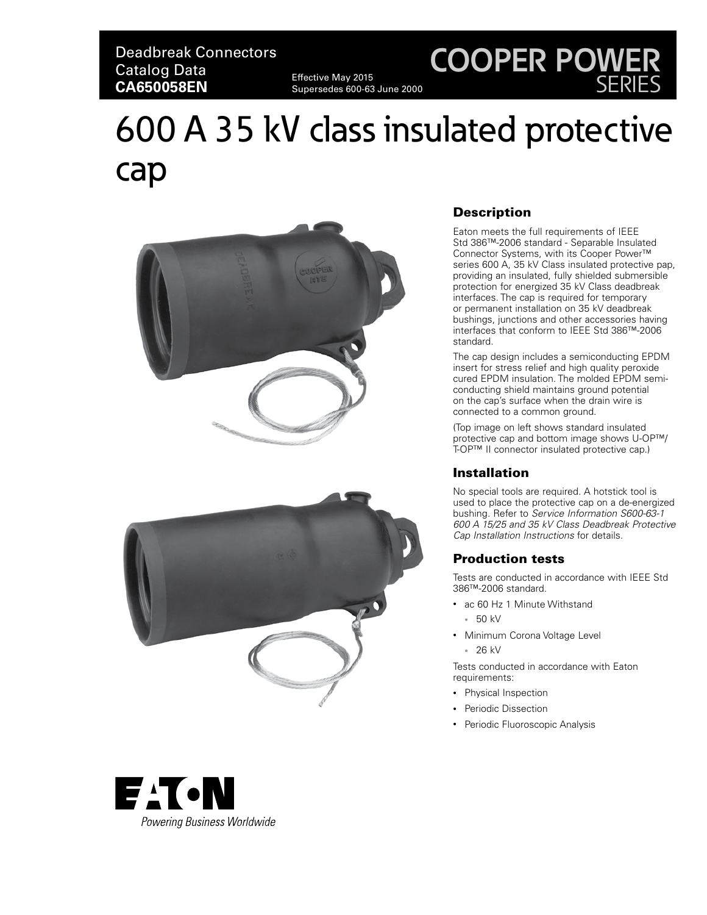### Deadbreak Connectors Catalog Data **CA650058EN** Effective May 2015

Supersedes 600-63 June 2000

## **COOPER POWER** SERIES

# 600 A 35 kV class insulated protective cap





#### Description

Eaton meets the full requirements of IEEE Std 386™-2006 standard - Separable Insulated Connector Systems, with its Cooper Power™ series 600 A, 35 kV Class insulated protective pap, providing an insulated, fully shielded submersible protection for energized 35 kV Class deadbreak interfaces. The cap is required for temporary or permanent installation on 35 kV deadbreak bushings, junctions and other accessories having interfaces that conform to IEEE Std 386™-2006 standard.

The cap design includes a semiconducting EPDM insert for stress relief and high quality peroxide cured EPDM insulation. The molded EPDM semiconducting shield maintains ground potential on the cap's surface when the drain wire is connected to a common ground.

(Top image on left shows standard insulated protective cap and bottom image shows U-OP™/ T-OP™ II connector insulated protective cap.)

#### Installation

No special tools are required. A hotstick tool is used to place the protective cap on a de-energized bushing. Refer to *Service Information S600-63-1 600 A 15/25 and 35 kV Class Deadbreak Protective Cap Installation Instructions* for details.

#### Production tests

Tests are conducted in accordance with IEEE Std 386™-2006 standard.

- ac 60 Hz 1 Minute Withstand
	- 50 kV
- Minimum Corona Voltage Level • 26 kV

Tests conducted in accordance with Eaton requirements:

- Physical Inspection
- Periodic Dissection
- Periodic Fluoroscopic Analysis

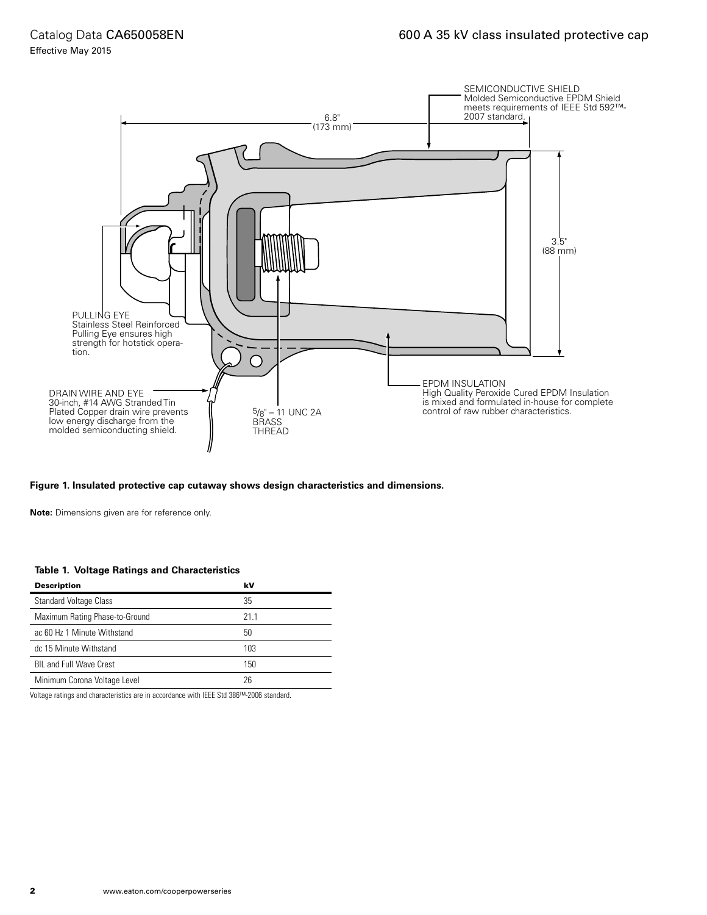

#### **Figure 1. Insulated protective cap cutaway shows design characteristics and dimensions.**

**Note:** Dimensions given are for reference only.

#### **Table 1. Voltage Ratings and Characteristics**

| <b>Description</b>             | kV  |
|--------------------------------|-----|
| <b>Standard Voltage Class</b>  | 35  |
| Maximum Rating Phase-to-Ground | 211 |
| ac 60 Hz 1 Minute Withstand    | 50  |
| dc 15 Minute Withstand         | 103 |
| <b>BIL and Full Wave Crest</b> | 150 |
| Minimum Corona Voltage Level   | 26  |
|                                |     |

Voltage ratings and characteristics are in accordance with IEEE Std 386™-2006 standard.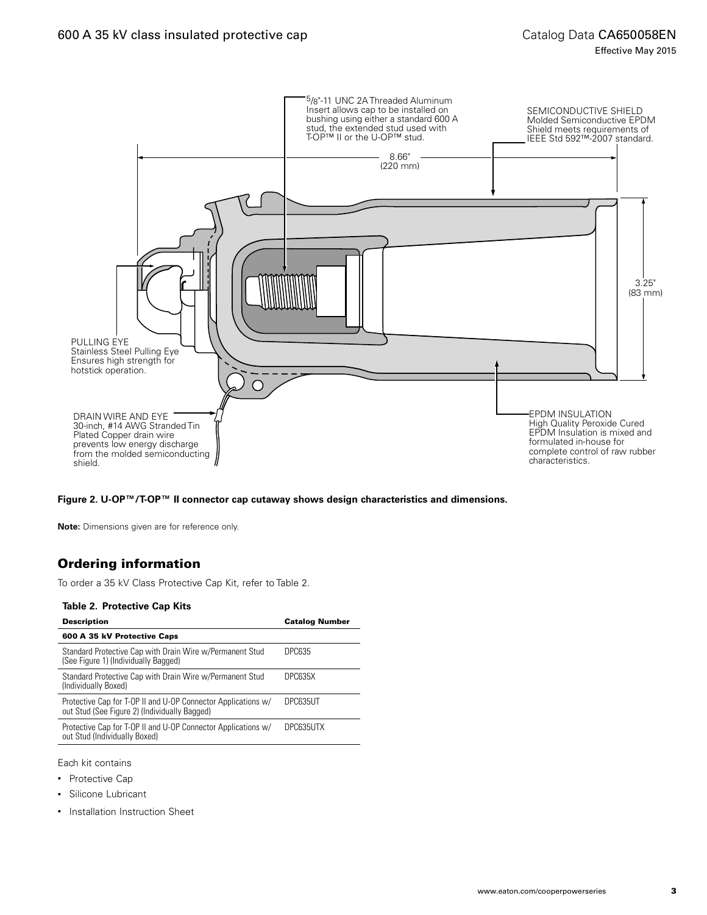

**Figure 2. U-OP™/T-OP™ II connector cap cutaway shows design characteristics and dimensions.**

**Note:** Dimensions given are for reference only.

#### Ordering information

To order a 35 kV Class Protective Cap Kit, refer to Table 2.

#### **Table 2. Protective Cap Kits**

| <b>Description</b>                                                                                             | <b>Catalog Number</b> |
|----------------------------------------------------------------------------------------------------------------|-----------------------|
| 600 A 35 kV Protective Caps                                                                                    |                       |
| Standard Protective Cap with Drain Wire w/Permanent Stud<br>(See Figure 1) (Individually Bagged)               | DPC635                |
| Standard Protective Cap with Drain Wire w/Permanent Stud<br>(Individually Boxed)                               | DPC635X               |
| Protective Cap for T-OP II and U-OP Connector Applications w/<br>out Stud (See Figure 2) (Individually Bagged) | DPC635UT              |
| Protective Cap for T-OP II and U-OP Connector Applications w/<br>out Stud (Individually Boxed)                 | DPC635UTX             |
|                                                                                                                |                       |

Each kit contains

- Protective Cap
- Silicone Lubricant
- Installation Instruction Sheet